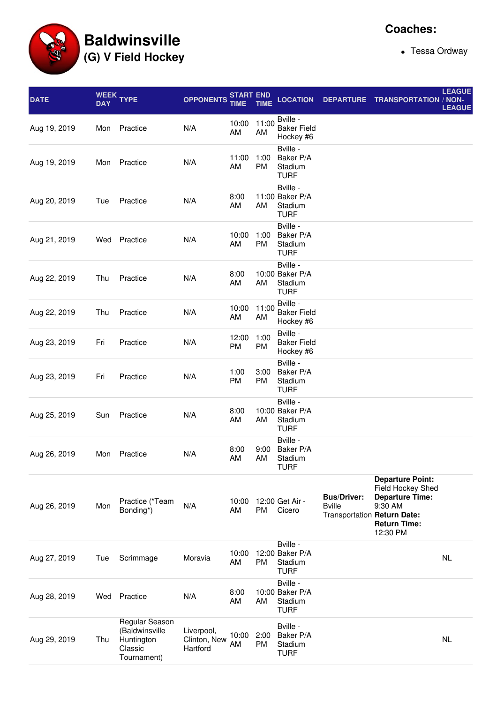**Baldwinsville (G) V Field Hockey**

• Tessa Ordway

| <b>DATE</b>  | <b>WEEK</b><br><b>DAY</b> | <b>TYPE</b>                                                              | <b>OPPONENTS</b>                       | START END<br><b>TIME</b> | <b>TIME</b>       | <b>LOCATION</b>                                       | <b>DEPARTURE</b>                                                   | <b>TRANSPORTATION / NON-</b>                                                                                         | <b>LEAGUE</b><br><b>LEAGUE</b> |
|--------------|---------------------------|--------------------------------------------------------------------------|----------------------------------------|--------------------------|-------------------|-------------------------------------------------------|--------------------------------------------------------------------|----------------------------------------------------------------------------------------------------------------------|--------------------------------|
| Aug 19, 2019 | Mon                       | Practice                                                                 | N/A                                    | 10:00<br>AM              | 11:00<br>AM       | Bville -<br><b>Baker Field</b><br>Hockey #6           |                                                                    |                                                                                                                      |                                |
| Aug 19, 2019 | Mon                       | Practice                                                                 | N/A                                    | 11:00<br>AM              | 1:00<br><b>PM</b> | Bville -<br>Baker P/A<br>Stadium<br><b>TURF</b>       |                                                                    |                                                                                                                      |                                |
| Aug 20, 2019 | Tue                       | Practice                                                                 | N/A                                    | 8:00<br>AM               | AM                | Bville -<br>11:00 Baker P/A<br>Stadium<br><b>TURF</b> |                                                                    |                                                                                                                      |                                |
| Aug 21, 2019 | Wed                       | Practice                                                                 | N/A                                    | 10:00<br>AM              | 1:00<br><b>PM</b> | Bville -<br>Baker P/A<br>Stadium<br><b>TURF</b>       |                                                                    |                                                                                                                      |                                |
| Aug 22, 2019 | Thu                       | Practice                                                                 | N/A                                    | 8:00<br>AM               | AM                | Bville -<br>10:00 Baker P/A<br>Stadium<br><b>TURF</b> |                                                                    |                                                                                                                      |                                |
| Aug 22, 2019 | Thu                       | Practice                                                                 | N/A                                    | 10:00<br>AM              | 11:00<br>AM       | Bville -<br><b>Baker Field</b><br>Hockey #6           |                                                                    |                                                                                                                      |                                |
| Aug 23, 2019 | Fri                       | Practice                                                                 | N/A                                    | 12:00<br>PM              | 1:00<br><b>PM</b> | Bville -<br><b>Baker Field</b><br>Hockey #6           |                                                                    |                                                                                                                      |                                |
| Aug 23, 2019 | Fri                       | Practice                                                                 | N/A                                    | 1:00<br><b>PM</b>        | 3:00<br><b>PM</b> | Bville -<br>Baker P/A<br>Stadium<br><b>TURF</b>       |                                                                    |                                                                                                                      |                                |
| Aug 25, 2019 | Sun                       | Practice                                                                 | N/A                                    | 8:00<br>AM               | AM                | Bville -<br>10:00 Baker P/A<br>Stadium<br><b>TURF</b> |                                                                    |                                                                                                                      |                                |
| Aug 26, 2019 | Mon                       | Practice                                                                 | N/A                                    | 8:00<br>AM               | AM                | Bville -<br>9:00 Baker P/A<br>Stadium<br><b>TURF</b>  |                                                                    |                                                                                                                      |                                |
| Aug 26, 2019 | Mon                       | Practice (*Team<br>Bonding*)                                             | N/A                                    | 10:00<br>AM              | PM                | 12:00 Get Air -<br>Cicero                             | <b>Bus/Driver:</b><br><b>Bville</b><br>Transportation Return Date: | <b>Departure Point:</b><br>Field Hockey Shed<br><b>Departure Time:</b><br>9:30 AM<br><b>Return Time:</b><br>12:30 PM |                                |
| Aug 27, 2019 | Tue                       | Scrimmage                                                                | Moravia                                | 10:00<br>AM              | <b>PM</b>         | Bville -<br>12:00 Baker P/A<br>Stadium<br><b>TURF</b> |                                                                    |                                                                                                                      | <b>NL</b>                      |
| Aug 28, 2019 | Wed                       | Practice                                                                 | N/A                                    | 8:00<br>AM               | AM                | Bville -<br>10:00 Baker P/A<br>Stadium<br><b>TURF</b> |                                                                    |                                                                                                                      |                                |
| Aug 29, 2019 | Thu                       | Regular Season<br>(Baldwinsville<br>Huntington<br>Classic<br>Tournament) | Liverpool,<br>Clinton, New<br>Hartford | 10:00<br>AM              | 2:00<br><b>PM</b> | Bville -<br>Baker P/A<br>Stadium<br><b>TURF</b>       |                                                                    |                                                                                                                      | <b>NL</b>                      |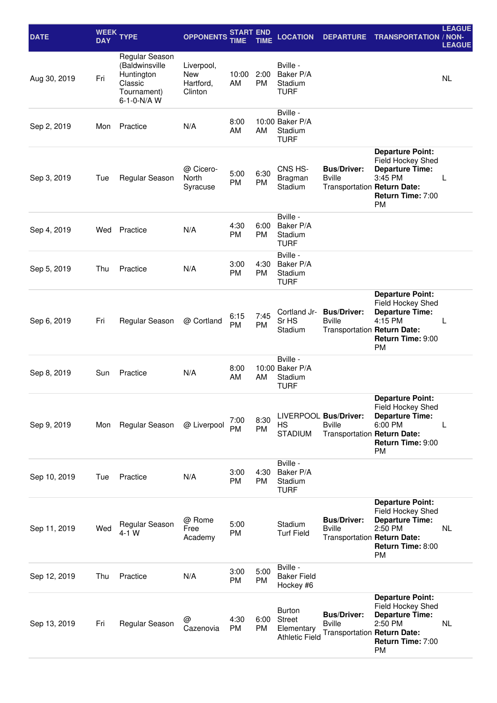| <b>DATE</b>  | <b>WEEK</b><br><b>DAY</b> | <b>TYPE</b>                                                                             | <b>OPPONENTS</b>                          | <b>START END</b><br>TIME | TIME              | <b>LOCATION</b>                                                       | <b>DEPARTURE</b>                                                      | <b>TRANSPORTATION / NON-</b>                                                                                        | <b>LEAGUE</b><br><b>LEAGUE</b> |
|--------------|---------------------------|-----------------------------------------------------------------------------------------|-------------------------------------------|--------------------------|-------------------|-----------------------------------------------------------------------|-----------------------------------------------------------------------|---------------------------------------------------------------------------------------------------------------------|--------------------------------|
| Aug 30, 2019 | Fri                       | Regular Season<br>(Baldwinsville<br>Huntington<br>Classic<br>Tournament)<br>6-1-0-N/A W | Liverpool,<br>New<br>Hartford,<br>Clinton | 10:00<br>AM              | 2:00<br><b>PM</b> | Bville -<br>Baker P/A<br>Stadium<br><b>TURF</b>                       |                                                                       |                                                                                                                     | <b>NL</b>                      |
| Sep 2, 2019  | Mon                       | Practice                                                                                | N/A                                       | 8:00<br>AM               | AM                | Bville -<br>10:00 Baker P/A<br>Stadium<br><b>TURF</b>                 |                                                                       |                                                                                                                     |                                |
| Sep 3, 2019  | Tue                       | Regular Season                                                                          | @ Cicero-<br>North<br>Syracuse            | 5:00<br><b>PM</b>        | 6:30<br><b>PM</b> | CNS HS-<br>Bragman<br>Stadium                                         | <b>Bus/Driver:</b><br><b>B</b> ville<br>Transportation Return Date:   | <b>Departure Point:</b><br>Field Hockey Shed<br><b>Departure Time:</b><br>3:45 PM<br>Return Time: 7:00<br><b>PM</b> | L                              |
| Sep 4, 2019  | Wed                       | Practice                                                                                | N/A                                       | 4:30<br>PM               | 6:00<br><b>PM</b> | Bville -<br>Baker P/A<br>Stadium<br><b>TURF</b>                       |                                                                       |                                                                                                                     |                                |
| Sep 5, 2019  | Thu                       | Practice                                                                                | N/A                                       | 3:00<br>PM               | 4:30<br><b>PM</b> | Bville -<br>Baker P/A<br>Stadium<br><b>TURF</b>                       |                                                                       |                                                                                                                     |                                |
| Sep 6, 2019  | Fri                       | Regular Season                                                                          | @ Cortland                                | 6:15<br>PM               | 7:45<br><b>PM</b> | Cortland Jr-<br>Sr HS<br>Stadium                                      | <b>Bus/Driver:</b><br><b>Bville</b><br>Transportation Return Date:    | <b>Departure Point:</b><br>Field Hockey Shed<br><b>Departure Time:</b><br>4:15 PM<br>Return Time: 9:00<br><b>PM</b> | L                              |
| Sep 8, 2019  | Sun                       | Practice                                                                                | N/A                                       | 8:00<br>AM               | AM                | Bville -<br>10:00 Baker P/A<br>Stadium<br><b>TURF</b>                 |                                                                       |                                                                                                                     |                                |
| Sep 9, 2019  | Mon                       | Regular Season                                                                          | @ Liverpool                               | 7:00<br><b>PM</b>        | 8:30<br><b>PM</b> | HS<br><b>STADIUM</b>                                                  | LIVERPOOL Bus/Driver:<br><b>Bville</b><br>Transportation Return Date: | <b>Departure Point:</b><br>Field Hockey Shed<br><b>Departure Time:</b><br>6:00 PM<br>Return Time: 9:00<br><b>PM</b> | L                              |
| Sep 10, 2019 | Tue                       | Practice                                                                                | N/A                                       | 3:00<br>PM               | 4:30<br><b>PM</b> | Bville -<br>Baker P/A<br>Stadium<br><b>TURF</b>                       |                                                                       |                                                                                                                     |                                |
| Sep 11, 2019 | Wed                       | Regular Season<br>$4-1$ W                                                               | @ Rome<br>Free<br>Academy                 | 5:00<br>PM               |                   | Stadium<br><b>Turf Field</b>                                          | <b>Bus/Driver:</b><br><b>B</b> ville<br>Transportation Return Date:   | <b>Departure Point:</b><br>Field Hockey Shed<br><b>Departure Time:</b><br>2:50 PM<br>Return Time: 8:00<br><b>PM</b> | NL                             |
| Sep 12, 2019 | Thu                       | Practice                                                                                | N/A                                       | 3:00<br>PM               | 5:00<br><b>PM</b> | Bville -<br><b>Baker Field</b><br>Hockey #6                           |                                                                       |                                                                                                                     |                                |
| Sep 13, 2019 | Fri                       | Regular Season                                                                          | @<br>Cazenovia                            | 4:30<br><b>PM</b>        | 6:00<br><b>PM</b> | <b>Burton</b><br><b>Street</b><br>Elementary<br><b>Athletic Field</b> | <b>Bus/Driver:</b><br><b>B</b> ville<br>Transportation Return Date:   | <b>Departure Point:</b><br>Field Hockey Shed<br><b>Departure Time:</b><br>2:50 PM<br>Return Time: 7:00<br><b>PM</b> | NL                             |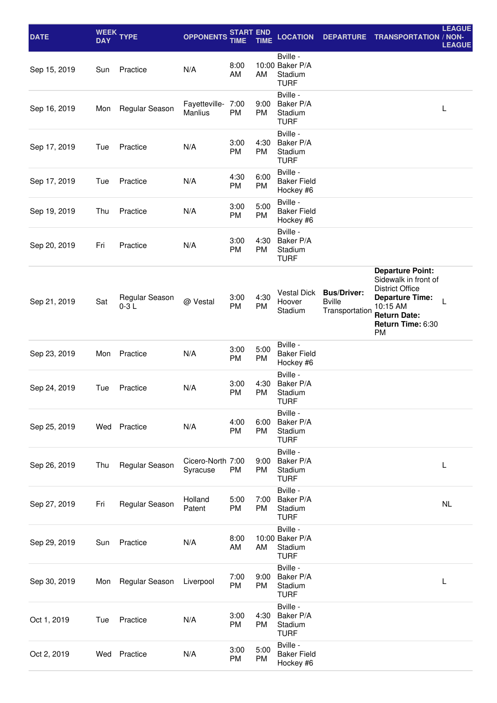| <b>DATE</b>  | <b>DAY</b> | WEEK TYPE                | <b>OPPONENTS</b>              | <b>START END</b><br>TIME | TIME              | <b>LOCATION</b>                                       | <b>DEPARTURE</b>                                      | <b>TRANSPORTATION</b>                                                                                                                                             | <b>LEAGUE</b><br>/ NON-<br><b>LEAGUE</b> |
|--------------|------------|--------------------------|-------------------------------|--------------------------|-------------------|-------------------------------------------------------|-------------------------------------------------------|-------------------------------------------------------------------------------------------------------------------------------------------------------------------|------------------------------------------|
| Sep 15, 2019 | Sun        | Practice                 | N/A                           | 8:00<br>AM               | AM                | Bville -<br>10:00 Baker P/A<br>Stadium<br><b>TURF</b> |                                                       |                                                                                                                                                                   |                                          |
| Sep 16, 2019 | Mon        | Regular Season           | Fayetteville- 7:00<br>Manlius | <b>PM</b>                | 9:00<br>PM        | Bville -<br>Baker P/A<br>Stadium<br><b>TURF</b>       |                                                       |                                                                                                                                                                   | L                                        |
| Sep 17, 2019 | Tue        | Practice                 | N/A                           | 3:00<br><b>PM</b>        | 4:30<br>PM        | Bville -<br>Baker P/A<br>Stadium<br><b>TURF</b>       |                                                       |                                                                                                                                                                   |                                          |
| Sep 17, 2019 | Tue        | Practice                 | N/A                           | 4:30<br>PM               | 6:00<br>PM        | Bville -<br><b>Baker Field</b><br>Hockey #6           |                                                       |                                                                                                                                                                   |                                          |
| Sep 19, 2019 | Thu        | Practice                 | N/A                           | 3:00<br><b>PM</b>        | 5:00<br>PM        | Bville -<br><b>Baker Field</b><br>Hockey #6           |                                                       |                                                                                                                                                                   |                                          |
| Sep 20, 2019 | Fri        | Practice                 | N/A                           | 3:00<br><b>PM</b>        | 4:30<br><b>PM</b> | Bville -<br>Baker P/A<br>Stadium<br><b>TURF</b>       |                                                       |                                                                                                                                                                   |                                          |
| Sep 21, 2019 | Sat        | Regular Season<br>$0-3L$ | @ Vestal                      | 3:00<br>PM               | 4:30<br>PM        | <b>Vestal Dick</b><br>Hoover<br>Stadium               | <b>Bus/Driver:</b><br><b>Bville</b><br>Transportation | <b>Departure Point:</b><br>Sidewalk in front of<br><b>District Office</b><br><b>Departure Time:</b><br>10:15 AM<br><b>Return Date:</b><br>Return Time: 6:30<br>PM |                                          |
| Sep 23, 2019 | Mon        | Practice                 | N/A                           | 3:00<br><b>PM</b>        | 5:00<br>PM        | Bville -<br><b>Baker Field</b><br>Hockey #6           |                                                       |                                                                                                                                                                   |                                          |
| Sep 24, 2019 | Tue        | Practice                 | N/A                           | 3:00<br><b>PM</b>        | 4:30<br><b>PM</b> | Bville -<br>Baker P/A<br>Stadium<br><b>TURF</b>       |                                                       |                                                                                                                                                                   |                                          |
| Sep 25, 2019 |            | Wed Practice             | N/A                           | 4:00<br>PM               | 6:00<br>PM        | Bville -<br>Baker P/A<br>Stadium<br><b>TURF</b>       |                                                       |                                                                                                                                                                   |                                          |
| Sep 26, 2019 | Thu        | Regular Season           | Cicero-North 7:00<br>Syracuse | <b>PM</b>                | 9:00<br>PM        | Bville -<br>Baker P/A<br>Stadium<br><b>TURF</b>       |                                                       |                                                                                                                                                                   | L                                        |
| Sep 27, 2019 | Fri        | Regular Season           | Holland<br>Patent             | 5:00<br>PM               | 7:00<br>PM        | Bville -<br>Baker P/A<br>Stadium<br><b>TURF</b>       |                                                       |                                                                                                                                                                   | <b>NL</b>                                |
| Sep 29, 2019 | Sun        | Practice                 | N/A                           | 8:00<br>AM               | AM                | Bville -<br>10:00 Baker P/A<br>Stadium<br><b>TURF</b> |                                                       |                                                                                                                                                                   |                                          |
| Sep 30, 2019 | Mon        | Regular Season           | Liverpool                     | 7:00<br>PM               | 9:00<br>PM        | Bville -<br>Baker P/A<br>Stadium<br><b>TURF</b>       |                                                       |                                                                                                                                                                   |                                          |
| Oct 1, 2019  | Tue        | Practice                 | N/A                           | 3:00<br><b>PM</b>        | 4:30<br>PM        | Bville -<br>Baker P/A<br>Stadium<br><b>TURF</b>       |                                                       |                                                                                                                                                                   |                                          |
| Oct 2, 2019  | Wed        | Practice                 | N/A                           | 3:00<br>PM               | 5:00<br>PM        | Bville -<br><b>Baker Field</b><br>Hockey #6           |                                                       |                                                                                                                                                                   |                                          |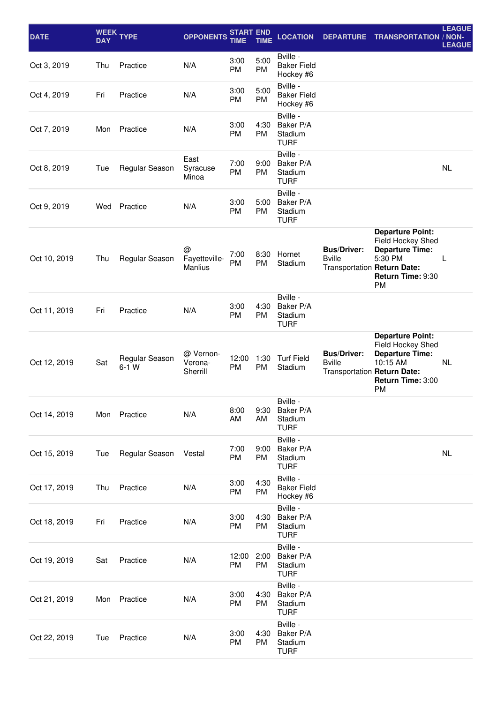| <b>DATE</b>  | <b>WEEK</b><br><b>DAY</b> | <b>TYPE</b>               | <b>OPPONENTS</b>                     | <b>START END</b><br>TIME | TIME              | <b>LOCATION</b>                                 | <b>DEPARTURE</b>                                                   | <b>TRANSPORTATION / NON-</b>                                                                                  | <b>LEAGUE</b><br><b>LEAGUE</b> |
|--------------|---------------------------|---------------------------|--------------------------------------|--------------------------|-------------------|-------------------------------------------------|--------------------------------------------------------------------|---------------------------------------------------------------------------------------------------------------|--------------------------------|
| Oct 3, 2019  | Thu                       | Practice                  | N/A                                  | 3:00<br>PM               | 5:00<br><b>PM</b> | Bville -<br><b>Baker Field</b><br>Hockey #6     |                                                                    |                                                                                                               |                                |
| Oct 4, 2019  | Fri                       | Practice                  | N/A                                  | 3:00<br>PM               | 5:00<br><b>PM</b> | Bville -<br><b>Baker Field</b><br>Hockey #6     |                                                                    |                                                                                                               |                                |
| Oct 7, 2019  | Mon                       | Practice                  | N/A                                  | 3:00<br><b>PM</b>        | 4:30<br><b>PM</b> | Bville -<br>Baker P/A<br>Stadium<br><b>TURF</b> |                                                                    |                                                                                                               |                                |
| Oct 8, 2019  | Tue                       | Regular Season            | East<br>Syracuse<br>Minoa            | 7:00<br><b>PM</b>        | 9:00<br><b>PM</b> | Bville -<br>Baker P/A<br>Stadium<br><b>TURF</b> |                                                                    |                                                                                                               | <b>NL</b>                      |
| Oct 9, 2019  | Wed                       | Practice                  | N/A                                  | 3:00<br><b>PM</b>        | 5:00<br><b>PM</b> | Bville -<br>Baker P/A<br>Stadium<br><b>TURF</b> |                                                                    |                                                                                                               |                                |
| Oct 10, 2019 | Thu                       | Regular Season            | @<br>Fayetteville-<br><b>Manlius</b> | 7:00<br><b>PM</b>        | 8:30<br><b>PM</b> | Hornet<br>Stadium                               | <b>Bus/Driver:</b><br><b>Bville</b><br>Transportation Return Date: | <b>Departure Point:</b><br>Field Hockey Shed<br><b>Departure Time:</b><br>5:30 PM<br>Return Time: 9:30<br>PM  | L                              |
| Oct 11, 2019 | Fri                       | Practice                  | N/A                                  | 3:00<br><b>PM</b>        | 4:30<br><b>PM</b> | Bville -<br>Baker P/A<br>Stadium<br><b>TURF</b> |                                                                    |                                                                                                               |                                |
| Oct 12, 2019 | Sat                       | Regular Season<br>$6-1$ W | @ Vernon-<br>Verona-<br>Sherrill     | 12:00<br><b>PM</b>       | 1:30<br><b>PM</b> | <b>Turf Field</b><br>Stadium                    | <b>Bus/Driver:</b><br><b>Bville</b><br>Transportation Return Date: | <b>Departure Point:</b><br>Field Hockey Shed<br><b>Departure Time:</b><br>10:15 AM<br>Return Time: 3:00<br>PM | NL                             |
| Oct 14, 2019 | Mon                       | Practice                  | N/A                                  | 8:00<br>AM               | 9:30<br>AM        | Bville -<br>Baker P/A<br>Stadium<br><b>TURF</b> |                                                                    |                                                                                                               |                                |
| Oct 15, 2019 | Tue                       | Regular Season            | Vestal                               | 7:00<br>PM               | 9:00<br><b>PM</b> | Bville -<br>Baker P/A<br>Stadium<br><b>TURF</b> |                                                                    |                                                                                                               | <b>NL</b>                      |
| Oct 17, 2019 | Thu                       | Practice                  | N/A                                  | 3:00<br>PM               | 4:30<br>PM        | Bville -<br><b>Baker Field</b><br>Hockey #6     |                                                                    |                                                                                                               |                                |
| Oct 18, 2019 | Fri                       | Practice                  | N/A                                  | 3:00<br>PM               | 4:30<br><b>PM</b> | Bville -<br>Baker P/A<br>Stadium<br><b>TURF</b> |                                                                    |                                                                                                               |                                |
| Oct 19, 2019 | Sat                       | Practice                  | N/A                                  | 12:00<br><b>PM</b>       | 2:00<br>PM        | Bville -<br>Baker P/A<br>Stadium<br><b>TURF</b> |                                                                    |                                                                                                               |                                |
| Oct 21, 2019 | Mon                       | Practice                  | N/A                                  | 3:00<br>PM               | 4:30<br><b>PM</b> | Bville -<br>Baker P/A<br>Stadium<br><b>TURF</b> |                                                                    |                                                                                                               |                                |
| Oct 22, 2019 | Tue                       | Practice                  | N/A                                  | 3:00<br>PM               | 4:30<br>PM        | Bville -<br>Baker P/A<br>Stadium<br><b>TURF</b> |                                                                    |                                                                                                               |                                |